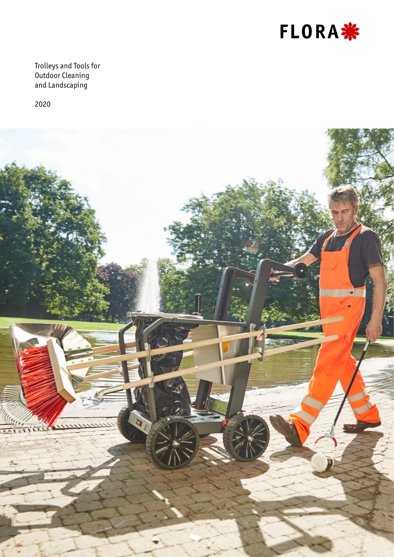

Trolleys and Tools for Outdoor Cleaning and Landscaping

2020

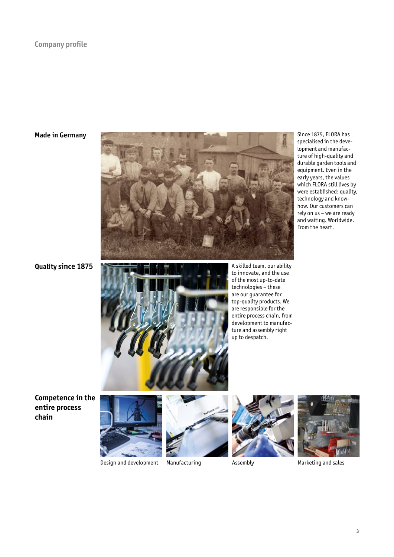### **Company profile**

### **Made in Germany**



**Quality since 1875**



A skilled team, our ability to innovate, and the use of the most up-to-date technologies – these are our guarantee for top-quality products. We are responsible for the entire process chain, from development to manufacture and assembly right up to despatch.

Since 1875, FLORA has specialised in the development and manufacture of high-quality and durable garden tools and equipment. Even in the early years, the values which FLORA still lives by were established: quality, technology and knowhow. Our customers can rely on us – we are ready and waiting. Worldwide. From the heart.

**Competence in the entire process chain**









Design and development Manufacturing Assembly Assembly Marketing and sales

3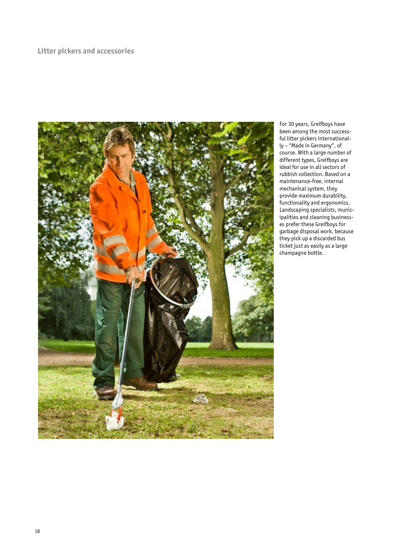## **Litter pickers and accessories**



For 30 years, Greifboys have been among the most successful litter pickers internationally – "Made in Germany", of course. With a large number of different types, Greifboys are ideal for use in all sectors of rubbish collection. Based on a maintenance-free, internal mechanical system, they provide maximum durability, functionality and ergonomics. Landscaping specialists, municipalities and cleaning businesses prefer these Greifboys for garbage disposal work, because they pick up a discarded bus ticket just as easily as a large champagne bottle.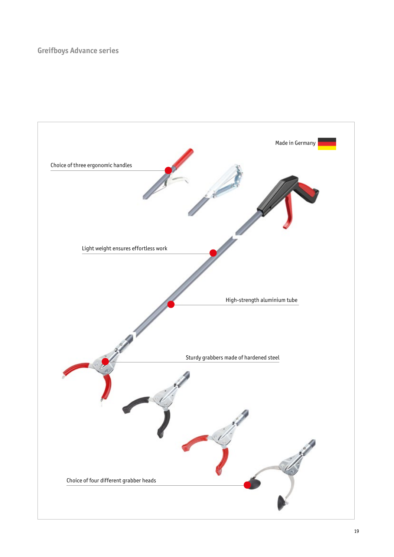# **Greifboys Advance series**

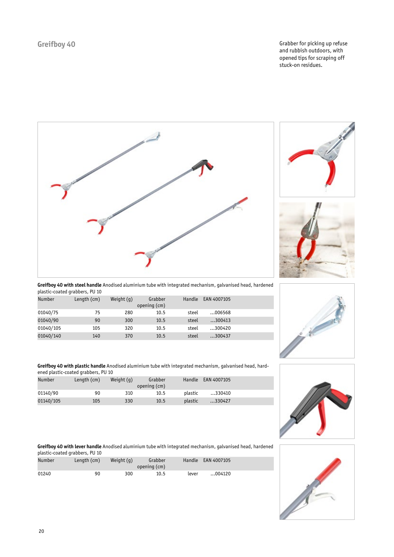Greifboy 40 **Greifboy 40 Grabber for picking up refuse** and rubbish outdoors, with opened tips for scraping off stuck-on residues.







**Greifboy 40 with steel handle** Anodised aluminium tube with integrated mechanism, galvanised head, hardened plastic-coated grabbers, PU 10

| <b>Number</b> | Length (cm) | Weight $(q)$ | Grabber<br>opening (cm) | Handle | EAN 4007105 |  |
|---------------|-------------|--------------|-------------------------|--------|-------------|--|
| 01040/75      | 75          | 280          | 10.5                    | steel  | 006568      |  |
| 01040/90      | 90          | 300          | 10.5                    | steel  | 300413      |  |
| 01040/105     | 105         | 320          | 10.5                    | steel  | 300420      |  |
| 01040/140     | 140         | 370          | 10.5                    | steel  | 300437      |  |



**Greifboy 40 with plastic handle** Anodised aluminium tube with integrated mechanism, galvanised head, hardened plastic-coated grabbers, PU 10

| Number    | Length (cm) | Weight $(q)$ | Grabber<br>opening (cm) | Handle  | EAN 4007105 |  |
|-----------|-------------|--------------|-------------------------|---------|-------------|--|
| 01140/90  | 90          | 310          | 10.5                    | plastic | 330410      |  |
| 01140/105 | 105         | 330          | 10.5                    | plastic | 330427      |  |



**Greifboy 40 with lever handle** Anodised aluminium tube with integrated mechanism, galvanised head, hardened plastic-coated grabbers, PU 10

| <b>Number</b> | Length (cm) | Weight $(q)$ | Grabber<br>opening (cm) |       | Handle EAN 4007105 |
|---------------|-------------|--------------|-------------------------|-------|--------------------|
| 01240         | 90          | 300          | 10.5                    | lever | 004120             |

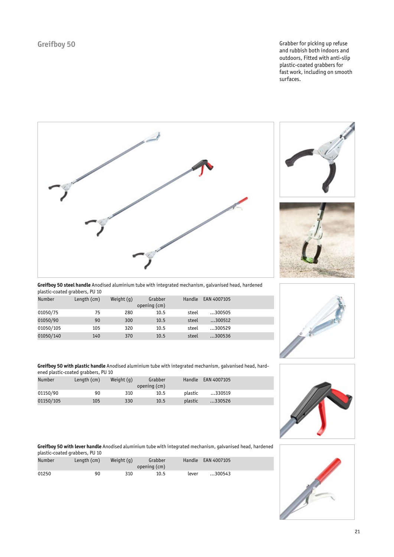Greifboy 50 **Greifboy 50 Grabber for picking up refuse** and rubbish both indoors and outdoors, Fitted with anti-slip plastic-coated grabbers for fast work, including on smooth surfaces.







**Greifboy 50 steel handle** Anodised aluminium tube with integrated mechanism, galvanised head, hardened plastic-coated grabbers, PU 10

| <b>Number</b> | Length (cm) | Weight $(q)$ | Grabber<br>opening (cm) | Handle | EAN 4007105 |  |
|---------------|-------------|--------------|-------------------------|--------|-------------|--|
| 01050/75      | 75          | 280          | 10.5                    | steel  | 300505      |  |
| 01050/90      | 90          | 300          | 10.5                    | steel  | 300512      |  |
| 01050/105     | 105         | 320          | 10.5                    | steel  | 300529      |  |
| 01050/140     | 140         | 370          | 10.5                    | steel  | 300536      |  |



**Greifboy 50 with plastic handle** Anodised aluminium tube with integrated mechanism, galvanised head, hardened plastic-coated grabbers, PU 10

| Number    | Length (cm) | Weight $(q)$ | Grabber<br>opening (cm) | Handle  | EAN 4007105 |  |
|-----------|-------------|--------------|-------------------------|---------|-------------|--|
| 01150/90  | 90          | 310          | 10.5                    | plastic | 330519      |  |
| 01150/105 | 105         | 330          | 10.5                    | plastic | 330526      |  |

**Greifboy 50 with lever handle** Anodised aluminium tube with integrated mechanism, galvanised head, hardened plastic-coated grabbers, PU 10

| <b>Number</b> | Length (cm) | Weight $(q)$ | Grabber<br>opening (cm) |       | Handle EAN 4007105 |
|---------------|-------------|--------------|-------------------------|-------|--------------------|
| 01250         | 90          | 310          | 10.5                    | lever | 300543             |

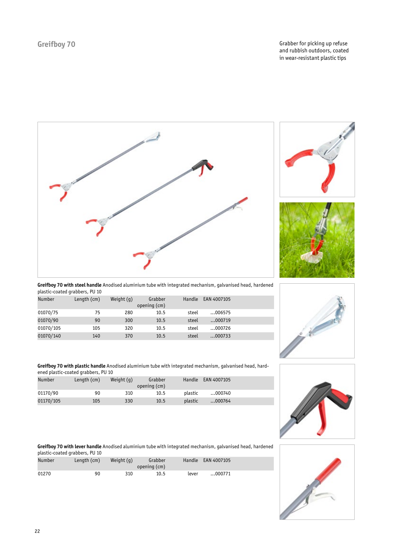Greifboy 70 **Greifboy 70 Grabber for picking up refuse** and rubbish outdoors, coated in wear-resistant plastic tips







**Greifboy 70 with steel handle** Anodised aluminium tube with integrated mechanism, galvanised head, hardened plastic-coated grabbers, PU 10

| <b>Number</b> | Length (cm) | Weight $(q)$ | Grabber<br>opening (cm) | Handle | EAN 4007105 |  |
|---------------|-------------|--------------|-------------------------|--------|-------------|--|
| 01070/75      | 75          | 280          | 10.5                    | steel  | 006575      |  |
| 01070/90      | 90          | 300          | 10.5                    | steel  | 000719      |  |
| 01070/105     | 105         | 320          | 10.5                    | steel  | 000726      |  |
| 01070/140     | 140         | 370          | 10.5                    | steel  | 000733      |  |



**Greifboy 70 with plastic handle** Anodised aluminium tube with integrated mechanism, galvanised head, hardened plastic-coated grabbers, PU 10

| Number    | Length $(cm)$ | Weight $(a)$ | Grabber<br>opening (cm) | Handle  | EAN 4007105 |  |
|-----------|---------------|--------------|-------------------------|---------|-------------|--|
| 01170/90  | 90            | 310          | 10.5                    | plastic | 000740      |  |
| 01170/105 | 105           | 330          | 10.5                    | plastic | 000764      |  |



**Greifboy 70 with lever handle** Anodised aluminium tube with integrated mechanism, galvanised head, hardened plastic-coated grabbers, PU 10

| <b>Number</b> | Length (cm) | Weight $(q)$ | Grabber<br>opening (cm) |       | Handle EAN 4007105 |
|---------------|-------------|--------------|-------------------------|-------|--------------------|
| 01270         | 90          | 310          | 10.5                    | lever | 000771             |

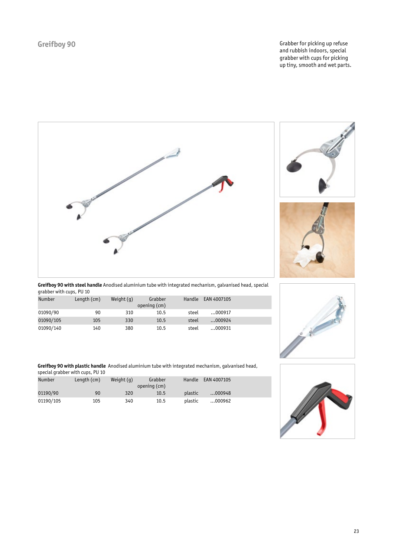Greifboy 90 **Grabber for picking up refuse** and rubbish indoors, special grabber with cups for picking up tiny, smooth and wet parts.







**Greifboy 90 with steel handle** Anodised aluminium tube with integrated mechanism, galvanised head, special grabber with cups, PU 10

| <b>Number</b> | Length (cm) | Weight $(q)$ | Grabber<br>opening (cm) | Handle | EAN 4007105 |  |
|---------------|-------------|--------------|-------------------------|--------|-------------|--|
| 01090/90      | 90          | 310          | 10.5                    | steel  | 000917      |  |
| 01090/105     | 105         | 330          | 10.5                    | steel  | 000924      |  |
| 01090/140     | 140         | 380          | 10.5                    | steel  | 000931      |  |

**Greifboy 90 with plastic handle** Anodised aluminium tube with integrated mechanism, galvanised head, special grabber with cups, PU 10

|           | $\frac{1}{2}$ pecint q. asset. $\frac{1}{2}$ . $\frac{1}{2}$ . $\frac{1}{2}$ . $\frac{1}{2}$ |              |                         |         |             |  |
|-----------|----------------------------------------------------------------------------------------------|--------------|-------------------------|---------|-------------|--|
| Number    | Length (cm)                                                                                  | Weight $(q)$ | Grabber<br>opening (cm) | Handle  | EAN 4007105 |  |
| 01190/90  | 90                                                                                           | 320          | 10.5                    | plastic | 000948      |  |
| 01190/105 | 105                                                                                          | 340          | 10.5                    | plastic | 000962      |  |

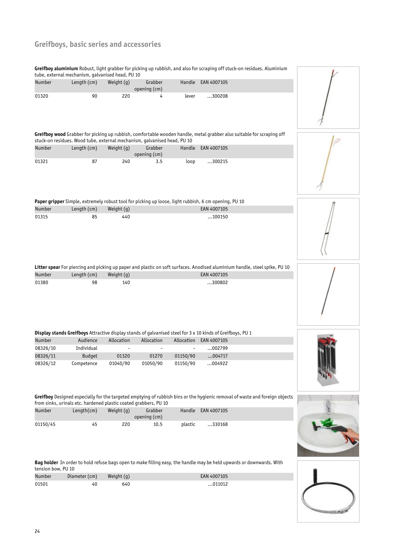# **Greifboys, basic series and accessories**

**Greifboy aluminium** Robust, light grabber for picking up rubbish, and also for scraping off stuck-on residues. Aluminium tube, external mechanism, galvanised head, PU 10

|                    | tube, external mechanism, galvanised head, PU 10                                                           |            |                         |          |                        | <b>Greifboy atuminium</b> Robust, light grabber for picking up rubbish, and also for scraping off stuck-on residues. Atuminium |  |
|--------------------|------------------------------------------------------------------------------------------------------------|------------|-------------------------|----------|------------------------|--------------------------------------------------------------------------------------------------------------------------------|--|
| Number             | Length (cm)                                                                                                | Weight (g) | Grabber<br>opening (cm) | Handle   | EAN 4007105            |                                                                                                                                |  |
| 01320              | 90                                                                                                         | 220        | 4                       | lever    | 300208                 |                                                                                                                                |  |
|                    | stuck-on residues. Wood tube, external mechanism, galvanised head, PU 10                                   |            |                         |          |                        | Greifboy wood Grabber for picking up rubbish, comfortable wooden handle, metal grabber also suitable for scraping off          |  |
| Number             | Length (cm)                                                                                                | Weight (g) | Grabber<br>opening (cm) | Handle   | EAN 4007105            |                                                                                                                                |  |
| 01321              | 87                                                                                                         | 240        | 3.5                     | loop     | 300215                 |                                                                                                                                |  |
|                    | Paper gripper Simple, extremely robust tool for picking up loose, light rubbish, 6 cm opening, PU 10       |            |                         |          |                        |                                                                                                                                |  |
| Number             | Length (cm)                                                                                                | Weight (g) |                         |          | EAN 4007105            |                                                                                                                                |  |
| 01315              | 85                                                                                                         | 440        |                         |          | 100150                 |                                                                                                                                |  |
|                    |                                                                                                            |            |                         |          |                        | Litter spear For piercing and picking up paper and plastic on soft surfaces. Anodised aluminium handle, steel spike, PU 10     |  |
| Number             | Length (cm)                                                                                                | Weight (g) |                         |          | EAN 4007105            |                                                                                                                                |  |
| 01380              | 98                                                                                                         | 140        |                         |          | 300802                 |                                                                                                                                |  |
|                    | Display stands Greifboys Attractive display stands of galvanised steel for 3 x 10 kinds of Greifboys, PU 1 |            |                         |          |                        |                                                                                                                                |  |
| Number             | Audience                                                                                                   | Allocation | Allocation              |          | Allocation EAN 4007105 |                                                                                                                                |  |
| 08326/10           | Individual                                                                                                 |            |                         |          | 002799                 |                                                                                                                                |  |
| 08326/11           | <b>Budget</b>                                                                                              | 01320      | 01270                   | 01150/90 | 004717                 |                                                                                                                                |  |
| 08326/12           | Competence                                                                                                 | 01040/90   | 01050/90                | 01150/90 | 004922                 |                                                                                                                                |  |
|                    | from sinks, urinals etc. hardened plastic coated grabbers, PU 10                                           |            |                         |          |                        | Greifboy Designed especially for the targeted emptying of rubbish bins or the hygienic removal of waste and foreign objects    |  |
| Number             | Length(cm)                                                                                                 | Weight (g) | Grabber<br>opening (cm) | Handle   | EAN 4007105            |                                                                                                                                |  |
| 01150/45           | 45                                                                                                         | 220        | 10.5                    | plastic  | 330168                 |                                                                                                                                |  |
| tension bow, PU 10 |                                                                                                            |            |                         |          |                        | Bag holder In order to hold refuse bags open to make filling easy, the handle may be held upwards or downwards. With           |  |
| Number             | Diameter (cm)                                                                                              | Weight (g) |                         |          | EAN 4007105            |                                                                                                                                |  |
| 01501              | 40                                                                                                         | 640        |                         |          | 011012                 |                                                                                                                                |  |
|                    |                                                                                                            |            |                         |          |                        |                                                                                                                                |  |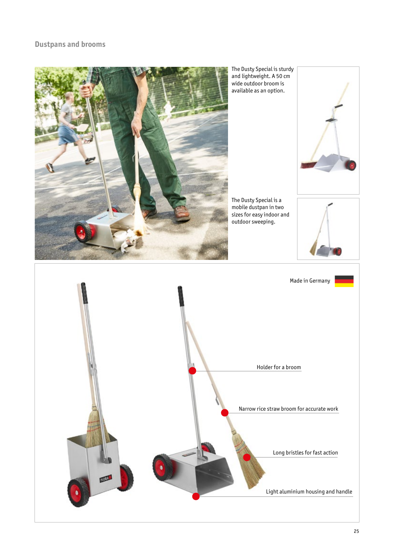## **Dustpans and brooms**

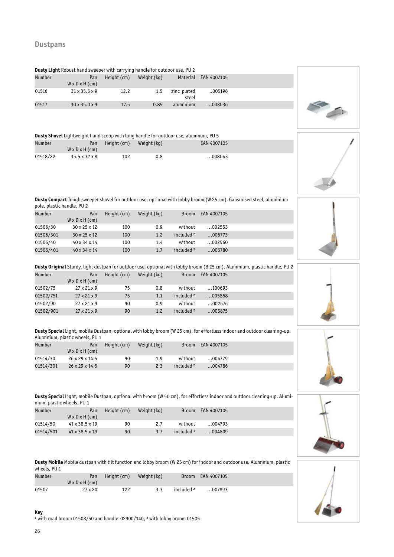| <b>Dusty Light</b> Robust hand sweeper with carrying handle for outdoor use, PU 2 |                                   |             |             |                      |             |  |  |  |
|-----------------------------------------------------------------------------------|-----------------------------------|-------------|-------------|----------------------|-------------|--|--|--|
| <b>Number</b>                                                                     | Pan<br>$W \times D \times H$ (cm) | Height (cm) | Weight (kg) | Material             | EAN 4007105 |  |  |  |
| 01516                                                                             | $31 \times 35.5 \times 9$         | 12.2        | 1.5         | zinc plated<br>steel | 005196      |  |  |  |
| 01517                                                                             | $30 \times 35.0 \times 9$         | 17.5        | 0.85        | aluminium            | 008036      |  |  |  |

#### **Dusty Shovel** Lightweight hand scoop with long handle for outdoor use, aluminum, PU 5

| Number   | Pan<br>$W \times D \times H$ (cm) | Height (cm) | Weight (kg) | EAN 4007105 |
|----------|-----------------------------------|-------------|-------------|-------------|
| 01518/22 | $35.5 \times 32 \times 8$         | 102         | 0.8         | 008043      |

**Dusty Compact** Tough sweeper shovel for outdoor use, optional with lobby broom (W 25 cm). Galvanised steel, aluminium pole, plastic handle, PU 2

| <b>Number</b> | Pan<br>$W \times D \times H$ (cm) | Height (cm) | Weight (kg) | <b>Broom</b>          | EAN 4007105 |  |
|---------------|-----------------------------------|-------------|-------------|-----------------------|-------------|--|
| 01506/30      | $30 \times 25 \times 12$          | 100         | 0.9         | without               | 002553      |  |
| 01506/301     | $30 \times 25 \times 12$          | 100         | 1.2         | included <sup>2</sup> | 006773      |  |
| 01506/40      | 40 x 34 x 14                      | 100         | 1.4         | without               | 002560      |  |
| 01506/401     | $40 \times 34 \times 14$          | 100         | 1.7         | included <sup>2</sup> | 006780      |  |

### **Dusty Original** Sturdy, light dustpan for outdoor use, optional with lobby broom (B 25 cm). Aluminium, plastic handle, PU 2

| <b>Number</b> | Pan<br>$W \times D \times H$ (cm) | Height (cm) | Weight (kg) | <b>Broom</b>          | EAN 4007105 |  |
|---------------|-----------------------------------|-------------|-------------|-----------------------|-------------|--|
| 01502/75      | $27 \times 21 \times 9$           | 75          | 0.8         | without               | 100693      |  |
| 01502/751     | $27 \times 21 \times 9$           | 75          | 1.1         | included <sup>2</sup> | 005868      |  |
| 01502/90      | $27 \times 21 \times 9$           | 90          | 0.9         | without               | 002676      |  |
| 01502/901     | $27 \times 21 \times 9$           | 90          | 1.2         | included <sup>2</sup> | 005875      |  |

**Dusty Special** Light, mobile Dustpan, optional with lobby broom (W 25 cm), for effortless indoor and outdoor cleaning-up. Aluminium, plastic wheels, PU 1

| Number    | Pan<br>$W \times D \times H$ (cm) | Height (cm) | Weight (kg) | <b>Broom</b>          | EAN 4007105 |  |
|-----------|-----------------------------------|-------------|-------------|-----------------------|-------------|--|
| 01514/30  | $26 \times 29 \times 14.5$        | 90          | 1.9         | without               | 004779      |  |
| 01514/301 | $26 \times 29 \times 14.5$        | 90          | 2.3         | included <sup>2</sup> | 004786      |  |



**Dusty Special** Light, mobile Dustpan, optional with broom (W 50 cm), for effortless indoor and outdoor cleaning-up. Aluminium, plastic wheels, PU 1

| <b>Number</b> | Pan<br>$W \times D \times H$ (cm) | Height (cm) | Weight (kg) | <b>Broom</b> | EAN 4007105 |  |
|---------------|-----------------------------------|-------------|-------------|--------------|-------------|--|
| 01514/50      | 41 x 38.5 x 19                    | 90          | 2.7         | without      | 004793      |  |
| 01514/501     | $41 \times 38.5 \times 19$        | 90          | 3.7         | included $1$ | 004809      |  |

**Dusty Mobile** Mobile dustpan with tilt function and lobby broom (W 25 cm) for indoor and outdoor use. Aluminium, plastic wheels, PU 1

| <b>Number</b> | Pan<br>$W \times D \times H$ (cm) | Height (cm) | Weight (kg) |                       | Broom EAN 4007105 |  |
|---------------|-----------------------------------|-------------|-------------|-----------------------|-------------------|--|
| 01507         | $27 \times 20$                    | 122         | 3.3         | included <sup>2</sup> | 007893            |  |